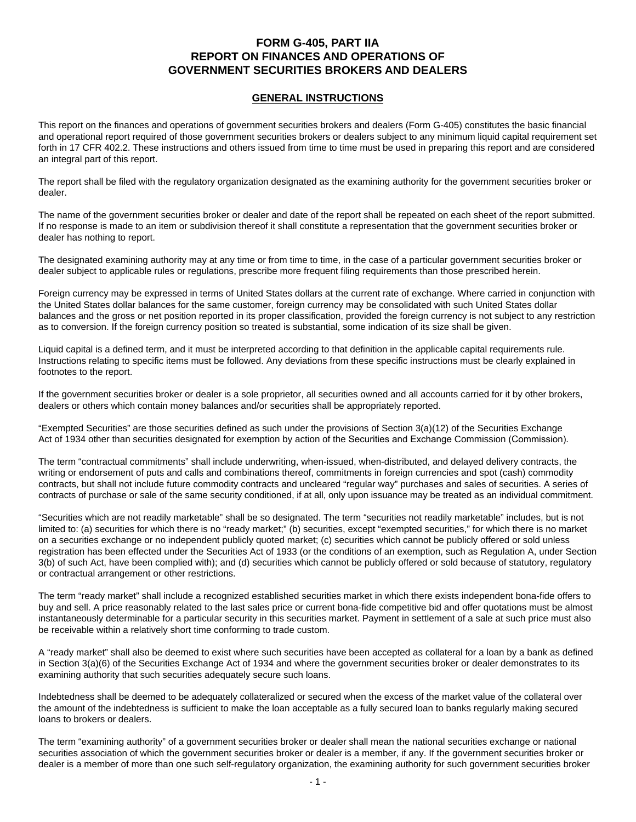# **FORM G-405, PART IIA REPORT ON FINANCES AND OPERATIONS OF GOVERNMENT SECURITIES BROKERS AND DEALERS**

# **GENERAL INSTRUCTIONS**

This report on the finances and operations of government securities brokers and dealers (Form G-405) constitutes the basic financial and operational report required of those government securities brokers or dealers subject to any minimum liquid capital requirement set forth in 17 CFR 402.2. These instructions and others issued from time to time must be used in preparing this report and are considered an integral part of this report.

The report shall be filed with the regulatory organization designated as the examining authority for the government securities broker or dealer.

The name of the government securities broker or dealer and date of the report shall be repeated on each sheet of the report submitted. If no response is made to an item or subdivision thereof it shall constitute a representation that the government securities broker or dealer has nothing to report.

The designated examining authority may at any time or from time to time, in the case of a particular government securities broker or dealer subject to applicable rules or regulations, prescribe more frequent filing requirements than those prescribed herein.

Foreign currency may be expressed in terms of United States dollars at the current rate of exchange. Where carried in conjunction with the United States dollar balances for the same customer, foreign currency may be consolidated with such United States dollar balances and the gross or net position reported in its proper classification, provided the foreign currency is not subject to any restriction as to conversion. If the foreign currency position so treated is substantial, some indication of its size shall be given.

Liquid capital is a defined term, and it must be interpreted according to that definition in the applicable capital requirements rule. Instructions relating to specific items must be followed. Any deviations from these specific instructions must be clearly explained in footnotes to the report.

If the government securities broker or dealer is a sole proprietor, all securities owned and all accounts carried for it by other brokers, dealers or others which contain money balances and/or securities shall be appropriately reported.

"Exempted Securities" are those securities defined as such under the provisions of Section 3(a)(12) of the Securities Exchange Act of 1934 other than securities designated for exemption by action of the Securities and Exchange Commission (Commission).

The term "contractual commitments" shall include underwriting, when-issued, when-distributed, and delayed delivery contracts, the writing or endorsement of puts and calls and combinations thereof, commitments in foreign currencies and spot (cash) commodity contracts, but shall not include future commodity contracts and uncleared "regular way" purchases and sales of securities. A series of contracts of purchase or sale of the same security conditioned, if at all, only upon issuance may be treated as an individual commitment.

"Securities which are not readily marketable" shall be so designated. The term "securities not readily marketable" includes, but is not limited to: (a) securities for which there is no "ready market;" (b) securities, except "exempted securities," for which there is no market on a securities exchange or no independent publicly quoted market; (c) securities which cannot be publicly offered or sold unless registration has been effected under the Securities Act of 1933 (or the conditions of an exemption, such as Regulation A, under Section 3(b) of such Act, have been complied with); and (d) securities which cannot be publicly offered or sold because of statutory, regulatory or contractual arrangement or other restrictions.

The term "ready market" shall include a recognized established securities market in which there exists independent bona-fide offers to buy and sell. A price reasonably related to the last sales price or current bona-fide competitive bid and offer quotations must be almost instantaneously determinable for a particular security in this securities market. Payment in settlement of a sale at such price must also be receivable within a relatively short time conforming to trade custom.

A "ready market" shall also be deemed to exist where such securities have been accepted as collateral for a loan by a bank as defined in Section 3(a)(6) of the Securities Exchange Act of 1934 and where the government securities broker or dealer demonstrates to its examining authority that such securities adequately secure such loans.

Indebtedness shall be deemed to be adequately collateralized or secured when the excess of the market value of the collateral over the amount of the indebtedness is sufficient to make the loan acceptable as a fully secured loan to banks regularly making secured loans to brokers or dealers.

The term "examining authority" of a government securities broker or dealer shall mean the national securities exchange or national securities association of which the government securities broker or dealer is a member, if any. If the government securities broker or dealer is a member of more than one such self-regulatory organization, the examining authority for such government securities broker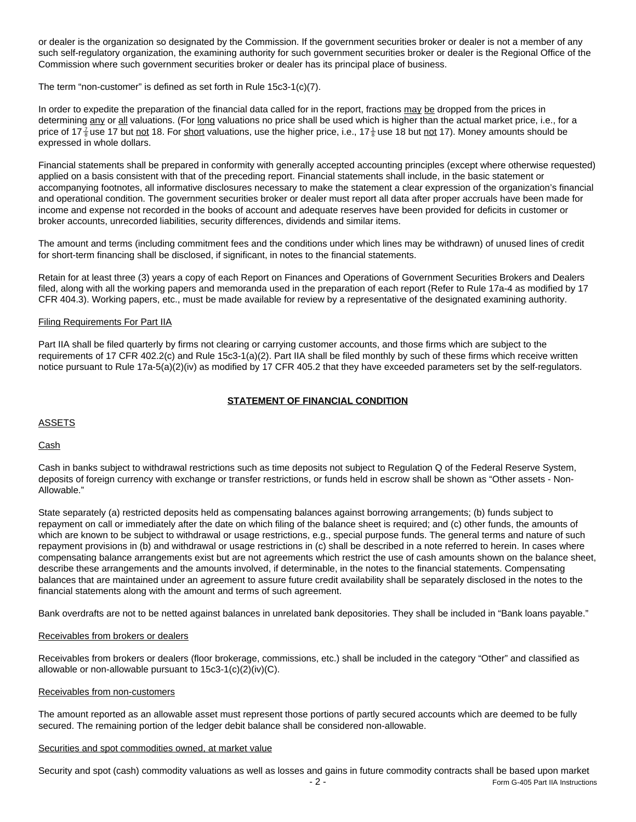or dealer is the organization so designated by the Commission. If the government securities broker or dealer is not a member of any such self-regulatory organization, the examining authority for such government securities broker or dealer is the Regional Office of the Commission where such government securities broker or dealer has its principal place of business.

The term "non-customer" is defined as set forth in Rule 15c3-1(c)(7).

In order to expedite the preparation of the financial data called for in the report, fractions may be dropped from the prices in determining any or all valuations. (For long valuations no price shall be used which is higher than the actual market price, i.e., for a price of 17 $\frac{7}{6}$ use 17 but <u>not</u> 18. For <u>short</u> valuations, use the higher price, i.e., 17 $\frac{1}{6}$ use 18 but <u>not</u> 17). Money amounts should be expressed in whole dollars.

Financial statements shall be prepared in conformity with generally accepted accounting principles (except where otherwise requested) applied on a basis consistent with that of the preceding report. Financial statements shall include, in the basic statement or accompanying footnotes, all informative disclosures necessary to make the statement a clear expression of the organization's financial and operational condition. The government securities broker or dealer must report all data after proper accruals have been made for income and expense not recorded in the books of account and adequate reserves have been provided for deficits in customer or broker accounts, unrecorded liabilities, security differences, dividends and similar items.

The amount and terms (including commitment fees and the conditions under which lines may be withdrawn) of unused lines of credit for short-term financing shall be disclosed, if significant, in notes to the financial statements.

Retain for at least three (3) years a copy of each Report on Finances and Operations of Government Securities Brokers and Dealers filed, along with all the working papers and memoranda used in the preparation of each report (Refer to Rule 17a-4 as modified by 17 CFR 404.3). Working papers, etc., must be made available for review by a representative of the designated examining authority.

# Filing Requirements For Part IIA

Part IIA shall be filed quarterly by firms not clearing or carrying customer accounts, and those firms which are subject to the requirements of 17 CFR 402.2(c) and Rule 15c3-1(a)(2). Part IIA shall be filed monthly by such of these firms which receive written notice pursuant to Rule 17a-5(a)(2)(iv) as modified by 17 CFR 405.2 that they have exceeded parameters set by the self-regulators.

### **STATEMENT OF FINANCIAL CONDITION**

## **ASSETS**

# **Cash**

Cash in banks subject to withdrawal restrictions such as time deposits not subject to Regulation Q of the Federal Reserve System, deposits of foreign currency with exchange or transfer restrictions, or funds held in escrow shall be shown as "Other assets - Non-Allowable."

State separately (a) restricted deposits held as compensating balances against borrowing arrangements; (b) funds subject to repayment on call or immediately after the date on which filing of the balance sheet is required; and (c) other funds, the amounts of which are known to be subject to withdrawal or usage restrictions, e.g., special purpose funds. The general terms and nature of such repayment provisions in (b) and withdrawal or usage restrictions in (c) shall be described in a note referred to herein. In cases where compensating balance arrangements exist but are not agreements which restrict the use of cash amounts shown on the balance sheet, describe these arrangements and the amounts involved, if determinable, in the notes to the financial statements. Compensating balances that are maintained under an agreement to assure future credit availability shall be separately disclosed in the notes to the financial statements along with the amount and terms of such agreement.

Bank overdrafts are not to be netted against balances in unrelated bank depositories. They shall be included in "Bank loans payable."

### Receivables from brokers or dealers

Receivables from brokers or dealers (floor brokerage, commissions, etc.) shall be included in the category "Other" and classified as allowable or non-allowable pursuant to 15c3-1(c)(2)(iv)(C).

### Receivables from non-customers

The amount reported as an allowable asset must represent those portions of partly secured accounts which are deemed to be fully secured. The remaining portion of the ledger debit balance shall be considered non-allowable.

### Securities and spot commodities owned, at market value

Security and spot (cash) commodity valuations as well as losses and gains in future commodity contracts shall be based upon market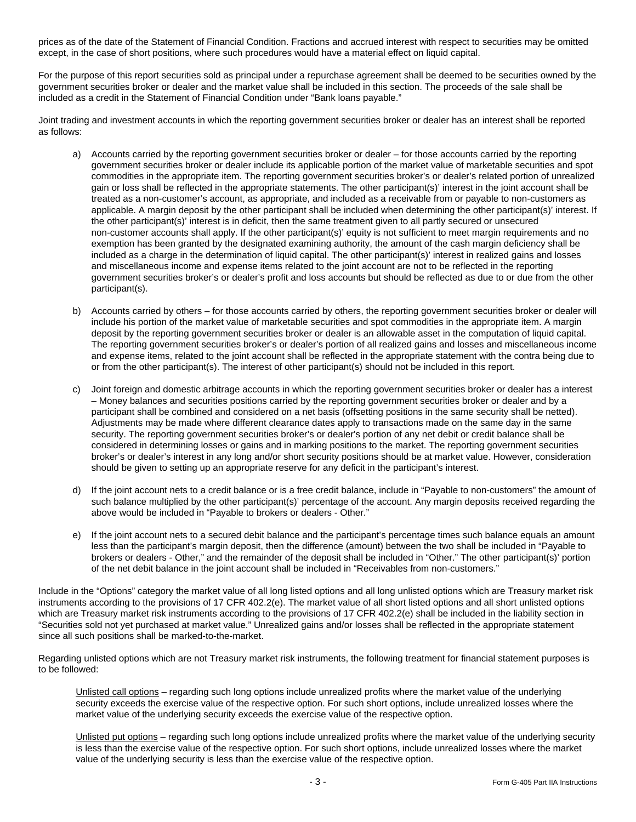prices as of the date of the Statement of Financial Condition. Fractions and accrued interest with respect to securities may be omitted except, in the case of short positions, where such procedures would have a material effect on liquid capital.

For the purpose of this report securities sold as principal under a repurchase agreement shall be deemed to be securities owned by the government securities broker or dealer and the market value shall be included in this section. The proceeds of the sale shall be included as a credit in the Statement of Financial Condition under "Bank loans payable."

Joint trading and investment accounts in which the reporting government securities broker or dealer has an interest shall be reported as follows:

- a) Accounts carried by the reporting government securities broker or dealer for those accounts carried by the reporting government securities broker or dealer include its applicable portion of the market value of marketable securities and spot commodities in the appropriate item. The reporting government securities broker's or dealer's related portion of unrealized gain or loss shall be reflected in the appropriate statements. The other participant(s)' interest in the joint account shall be treated as a non-customer's account, as appropriate, and included as a receivable from or payable to non-customers as applicable. A margin deposit by the other participant shall be included when determining the other participant(s)' interest. If the other participant(s)' interest is in deficit, then the same treatment given to all partly secured or unsecured non-customer accounts shall apply. If the other participant(s)' equity is not sufficient to meet margin requirements and no exemption has been granted by the designated examining authority, the amount of the cash margin deficiency shall be included as a charge in the determination of liquid capital. The other participant(s)' interest in realized gains and losses and miscellaneous income and expense items related to the joint account are not to be reflected in the reporting government securities broker's or dealer's profit and loss accounts but should be reflected as due to or due from the other participant(s).
- b) Accounts carried by others for those accounts carried by others, the reporting government securities broker or dealer will include his portion of the market value of marketable securities and spot commodities in the appropriate item. A margin deposit by the reporting government securities broker or dealer is an allowable asset in the computation of liquid capital. The reporting government securities broker's or dealer's portion of all realized gains and losses and miscellaneous income and expense items, related to the joint account shall be reflected in the appropriate statement with the contra being due to or from the other participant(s). The interest of other participant(s) should not be included in this report.
- c) Joint foreign and domestic arbitrage accounts in which the reporting government securities broker or dealer has a interest – Money balances and securities positions carried by the reporting government securities broker or dealer and by a participant shall be combined and considered on a net basis (offsetting positions in the same security shall be netted). Adjustments may be made where different clearance dates apply to transactions made on the same day in the same security. The reporting government securities broker's or dealer's portion of any net debit or credit balance shall be considered in determining losses or gains and in marking positions to the market. The reporting government securities broker's or dealer's interest in any long and/or short security positions should be at market value. However, consideration should be given to setting up an appropriate reserve for any deficit in the participant's interest.
- d) If the joint account nets to a credit balance or is a free credit balance, include in "Payable to non-customers" the amount of such balance multiplied by the other participant(s)' percentage of the account. Any margin deposits received regarding the above would be included in "Payable to brokers or dealers - Other."
- e) If the joint account nets to a secured debit balance and the participant's percentage times such balance equals an amount less than the participant's margin deposit, then the difference (amount) between the two shall be included in "Payable to brokers or dealers - Other," and the remainder of the deposit shall be included in "Other." The other participant(s)' portion of the net debit balance in the joint account shall be included in "Receivables from non-customers."

Include in the "Options" category the market value of all long listed options and all long unlisted options which are Treasury market risk instruments according to the provisions of 17 CFR 402.2(e). The market value of all short listed options and all short unlisted options which are Treasury market risk instruments according to the provisions of 17 CFR 402.2(e) shall be included in the liability section in "Securities sold not yet purchased at market value." Unrealized gains and/or losses shall be reflected in the appropriate statement since all such positions shall be marked-to-the-market.

Regarding unlisted options which are not Treasury market risk instruments, the following treatment for financial statement purposes is to be followed:

Unlisted call options – regarding such long options include unrealized profits where the market value of the underlying security exceeds the exercise value of the respective option. For such short options, include unrealized losses where the market value of the underlying security exceeds the exercise value of the respective option.

Unlisted put options – regarding such long options include unrealized profits where the market value of the underlying security is less than the exercise value of the respective option. For such short options, include unrealized losses where the market value of the underlying security is less than the exercise value of the respective option.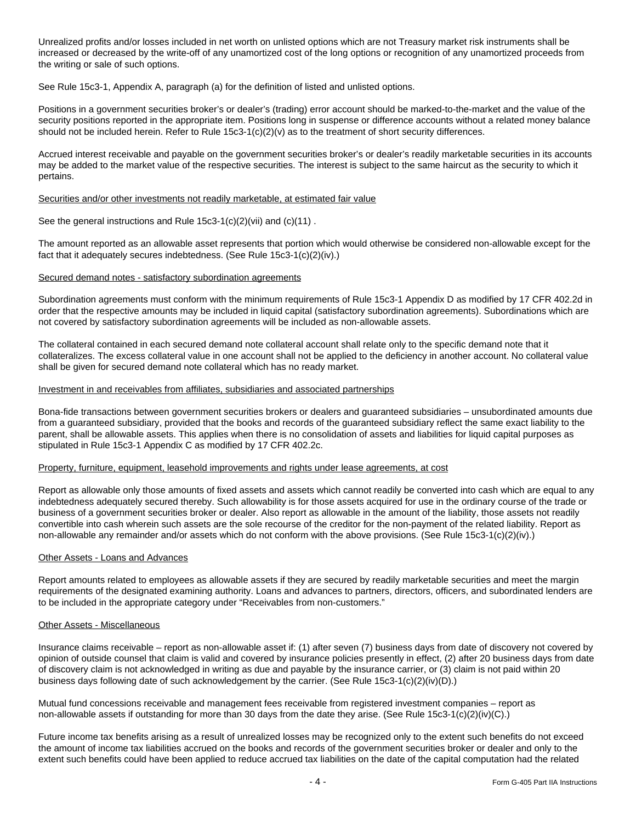Unrealized profits and/or losses included in net worth on unlisted options which are not Treasury market risk instruments shall be increased or decreased by the write-off of any unamortized cost of the long options or recognition of any unamortized proceeds from the writing or sale of such options.

See Rule 15c3-1, Appendix A, paragraph (a) for the definition of listed and unlisted options.

Positions in a government securities broker's or dealer's (trading) error account should be marked-to-the-market and the value of the security positions reported in the appropriate item. Positions long in suspense or difference accounts without a related money balance should not be included herein. Refer to Rule 15c3-1(c)(2)(v) as to the treatment of short security differences.

Accrued interest receivable and payable on the government securities broker's or dealer's readily marketable securities in its accounts may be added to the market value of the respective securities. The interest is subject to the same haircut as the security to which it pertains.

### Securities and/or other investments not readily marketable, at estimated fair value

See the general instructions and Rule 15c3-1(c)(2)(vii) and (c)(11) .

The amount reported as an allowable asset represents that portion which would otherwise be considered non-allowable except for the fact that it adequately secures indebtedness. (See Rule 15c3-1(c)(2)(iv).)

## Secured demand notes - satisfactory subordination agreements

Subordination agreements must conform with the minimum requirements of Rule 15c3-1 Appendix D as modified by 17 CFR 402.2d in order that the respective amounts may be included in liquid capital (satisfactory subordination agreements). Subordinations which are not covered by satisfactory subordination agreements will be included as non-allowable assets.

The collateral contained in each secured demand note collateral account shall relate only to the specific demand note that it collateralizes. The excess collateral value in one account shall not be applied to the deficiency in another account. No collateral value shall be given for secured demand note collateral which has no ready market.

### Investment in and receivables from affiliates, subsidiaries and associated partnerships

Bona-fide transactions between government securities brokers or dealers and guaranteed subsidiaries – unsubordinated amounts due from a guaranteed subsidiary, provided that the books and records of the guaranteed subsidiary reflect the same exact liability to the parent, shall be allowable assets. This applies when there is no consolidation of assets and liabilities for liquid capital purposes as stipulated in Rule 15c3-1 Appendix C as modified by 17 CFR 402.2c.

### Property, furniture, equipment, leasehold improvements and rights under lease agreements, at cost

Report as allowable only those amounts of fixed assets and assets which cannot readily be converted into cash which are equal to any indebtedness adequately secured thereby. Such allowability is for those assets acquired for use in the ordinary course of the trade or business of a government securities broker or dealer. Also report as allowable in the amount of the liability, those assets not readily convertible into cash wherein such assets are the sole recourse of the creditor for the non-payment of the related liability. Report as non-allowable any remainder and/or assets which do not conform with the above provisions. (See Rule 15c3-1(c)(2)(iv).)

### Other Assets - Loans and Advances

Report amounts related to employees as allowable assets if they are secured by readily marketable securities and meet the margin requirements of the designated examining authority. Loans and advances to partners, directors, officers, and subordinated lenders are to be included in the appropriate category under "Receivables from non-customers."

### Other Assets - Miscellaneous

Insurance claims receivable – report as non-allowable asset if: (1) after seven (7) business days from date of discovery not covered by opinion of outside counsel that claim is valid and covered by insurance policies presently in effect, (2) after 20 business days from date of discovery claim is not acknowledged in writing as due and payable by the insurance carrier, or (3) claim is not paid within 20 business days following date of such acknowledgement by the carrier. (See Rule 15c3-1(c)(2)(iv)(D).)

Mutual fund concessions receivable and management fees receivable from registered investment companies – report as non-allowable assets if outstanding for more than 30 days from the date they arise. (See Rule 15c3-1(c)(2)(iv)(C).)

Future income tax benefits arising as a result of unrealized losses may be recognized only to the extent such benefits do not exceed the amount of income tax liabilities accrued on the books and records of the government securities broker or dealer and only to the extent such benefits could have been applied to reduce accrued tax liabilities on the date of the capital computation had the related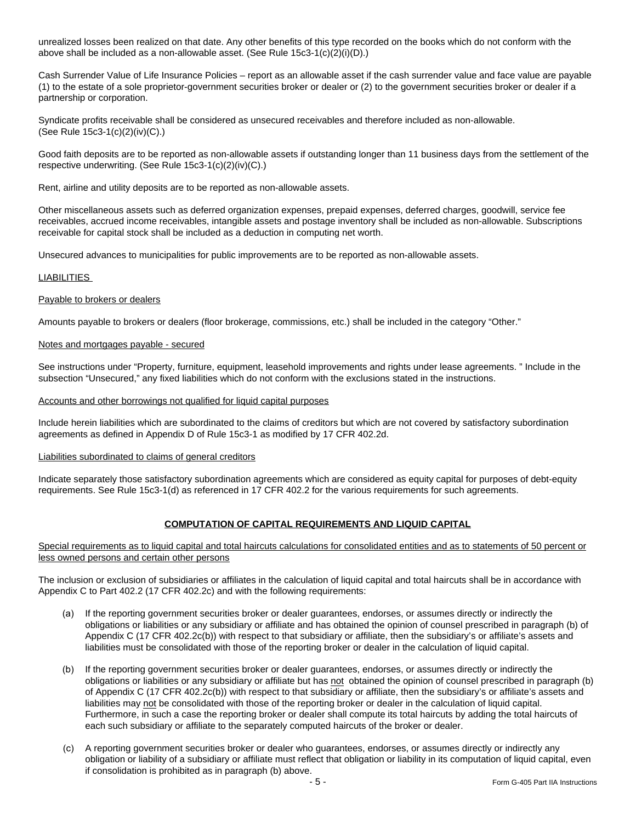unrealized losses been realized on that date. Any other benefits of this type recorded on the books which do not conform with the above shall be included as a non-allowable asset. (See Rule 15c3-1(c)(2)(i)(D).)

Cash Surrender Value of Life Insurance Policies – report as an allowable asset if the cash surrender value and face value are payable (1) to the estate of a sole proprietor-government securities broker or dealer or (2) to the government securities broker or dealer if a partnership or corporation.

Syndicate profits receivable shall be considered as unsecured receivables and therefore included as non-allowable. (See Rule 15c3-1(c)(2)(iv)(C).)

Good faith deposits are to be reported as non-allowable assets if outstanding longer than 11 business days from the settlement of the respective underwriting. (See Rule 15c3-1(c)(2)(iv)(C).)

Rent, airline and utility deposits are to be reported as non-allowable assets.

Other miscellaneous assets such as deferred organization expenses, prepaid expenses, deferred charges, goodwill, service fee receivables, accrued income receivables, intangible assets and postage inventory shall be included as non-allowable. Subscriptions receivable for capital stock shall be included as a deduction in computing net worth.

Unsecured advances to municipalities for public improvements are to be reported as non-allowable assets.

### LIABILITIES

### Payable to brokers or dealers

Amounts payable to brokers or dealers (floor brokerage, commissions, etc.) shall be included in the category "Other."

### Notes and mortgages payable - secured

See instructions under "Property, furniture, equipment, leasehold improvements and rights under lease agreements. " Include in the subsection "Unsecured," any fixed liabilities which do not conform with the exclusions stated in the instructions.

# Accounts and other borrowings not qualified for liquid capital purposes

Include herein liabilities which are subordinated to the claims of creditors but which are not covered by satisfactory subordination agreements as defined in Appendix D of Rule 15c3-1 as modified by 17 CFR 402.2d.

# Liabilities subordinated to claims of general creditors

Indicate separately those satisfactory subordination agreements which are considered as equity capital for purposes of debt-equity requirements. See Rule 15c3-1(d) as referenced in 17 CFR 402.2 for the various requirements for such agreements.

# **COMPUTATION OF CAPITAL REQUIREMENTS AND LIQUID CAPITAL**

Special requirements as to liquid capital and total haircuts calculations for consolidated entities and as to statements of 50 percent or less owned persons and certain other persons

The inclusion or exclusion of subsidiaries or affiliates in the calculation of liquid capital and total haircuts shall be in accordance with Appendix C to Part 402.2 (17 CFR 402.2c) and with the following requirements:

- (a) If the reporting government securities broker or dealer guarantees, endorses, or assumes directly or indirectly the obligations or liabilities or any subsidiary or affiliate and has obtained the opinion of counsel prescribed in paragraph (b) of Appendix C (17 CFR 402.2c(b)) with respect to that subsidiary or affiliate, then the subsidiary's or affiliate's assets and liabilities must be consolidated with those of the reporting broker or dealer in the calculation of liquid capital.
- (b) If the reporting government securities broker or dealer guarantees, endorses, or assumes directly or indirectly the obligations or liabilities or any subsidiary or affiliate but has not obtained the opinion of counsel prescribed in paragraph (b) of Appendix C (17 CFR 402.2c(b)) with respect to that subsidiary or affiliate, then the subsidiary's or affiliate's assets and liabilities may not be consolidated with those of the reporting broker or dealer in the calculation of liquid capital. Furthermore, in such a case the reporting broker or dealer shall compute its total haircuts by adding the total haircuts of each such subsidiary or affiliate to the separately computed haircuts of the broker or dealer.
- (c) A reporting government securities broker or dealer who guarantees, endorses, or assumes directly or indirectly any obligation or liability of a subsidiary or affiliate must reflect that obligation or liability in its computation of liquid capital, even if consolidation is prohibited as in paragraph (b) above.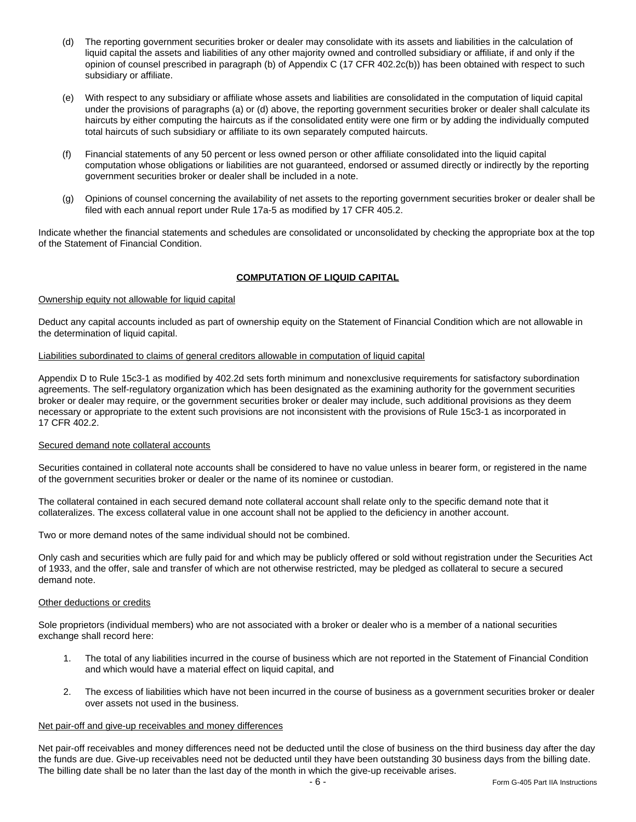- (d) The reporting government securities broker or dealer may consolidate with its assets and liabilities in the calculation of liquid capital the assets and liabilities of any other majority owned and controlled subsidiary or affiliate, if and only if the opinion of counsel prescribed in paragraph (b) of Appendix C (17 CFR 402.2c(b)) has been obtained with respect to such subsidiary or affiliate.
- (e) With respect to any subsidiary or affiliate whose assets and liabilities are consolidated in the computation of liquid capital under the provisions of paragraphs (a) or (d) above, the reporting government securities broker or dealer shall calculate its haircuts by either computing the haircuts as if the consolidated entity were one firm or by adding the individually computed total haircuts of such subsidiary or affiliate to its own separately computed haircuts.
- (f) Financial statements of any 50 percent or less owned person or other affiliate consolidated into the liquid capital computation whose obligations or liabilities are not guaranteed, endorsed or assumed directly or indirectly by the reporting government securities broker or dealer shall be included in a note.
- (g) Opinions of counsel concerning the availability of net assets to the reporting government securities broker or dealer shall be filed with each annual report under Rule 17a-5 as modified by 17 CFR 405.2.

Indicate whether the financial statements and schedules are consolidated or unconsolidated by checking the appropriate box at the top of the Statement of Financial Condition.

# **COMPUTATION OF LIQUID CAPITAL**

# Ownership equity not allowable for liquid capital

Deduct any capital accounts included as part of ownership equity on the Statement of Financial Condition which are not allowable in the determination of liquid capital.

### Liabilities subordinated to claims of general creditors allowable in computation of liquid capital

Appendix D to Rule 15c3-1 as modified by 402.2d sets forth minimum and nonexclusive requirements for satisfactory subordination agreements. The self-regulatory organization which has been designated as the examining authority for the government securities broker or dealer may require, or the government securities broker or dealer may include, such additional provisions as they deem necessary or appropriate to the extent such provisions are not inconsistent with the provisions of Rule 15c3-1 as incorporated in 17 CFR 402.2.

# Secured demand note collateral accounts

Securities contained in collateral note accounts shall be considered to have no value unless in bearer form, or registered in the name of the government securities broker or dealer or the name of its nominee or custodian.

The collateral contained in each secured demand note collateral account shall relate only to the specific demand note that it collateralizes. The excess collateral value in one account shall not be applied to the deficiency in another account.

Two or more demand notes of the same individual should not be combined.

Only cash and securities which are fully paid for and which may be publicly offered or sold without registration under the Securities Act of 1933, and the offer, sale and transfer of which are not otherwise restricted, may be pledged as collateral to secure a secured demand note.

# Other deductions or credits

Sole proprietors (individual members) who are not associated with a broker or dealer who is a member of a national securities exchange shall record here:

- 1. The total of any liabilities incurred in the course of business which are not reported in the Statement of Financial Condition and which would have a material effect on liquid capital, and
- 2. The excess of liabilities which have not been incurred in the course of business as a government securities broker or dealer over assets not used in the business.

# Net pair-off and give-up receivables and money differences

Net pair-off receivables and money differences need not be deducted until the close of business on the third business day after the day the funds are due. Give-up receivables need not be deducted until they have been outstanding 30 business days from the billing date. The billing date shall be no later than the last day of the month in which the give-up receivable arises.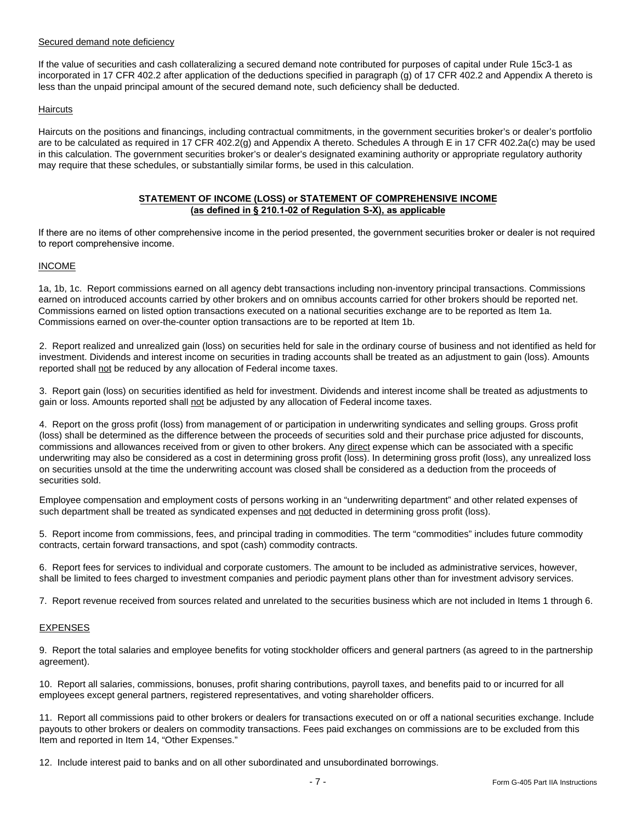# Secured demand note deficiency

If the value of securities and cash collateralizing a secured demand note contributed for purposes of capital under Rule 15c3-1 as incorporated in 17 CFR 402.2 after application of the deductions specified in paragraph (g) of 17 CFR 402.2 and Appendix A thereto is less than the unpaid principal amount of the secured demand note, such deficiency shall be deducted.

# **Haircuts**

Haircuts on the positions and financings, including contractual commitments, in the government securities broker's or dealer's portfolio are to be calculated as required in 17 CFR 402.2(g) and Appendix A thereto. Schedules A through E in 17 CFR 402.2a(c) may be used in this calculation. The government securities broker's or dealer's designated examining authority or appropriate regulatory authority may require that these schedules, or substantially similar forms, be used in this calculation.

### **STATEMENT OF INCOME (LOSS) or STATEMENT OF COMPREHENSIVE INCOME (as defined in § 210.1-02 of Regulation S-X), as applicable**

If there are no items of other comprehensive income in the period presented, the government securities broker or dealer is not required to report comprehensive income.

# INCOME

1a, 1b, 1c. Report commissions earned on all agency debt transactions including non-inventory principal transactions. Commissions earned on introduced accounts carried by other brokers and on omnibus accounts carried for other brokers should be reported net. Commissions earned on listed option transactions executed on a national securities exchange are to be reported as Item 1a. Commissions earned on over-the-counter option transactions are to be reported at Item 1b.

2. Report realized and unrealized gain (loss) on securities held for sale in the ordinary course of business and not identified as held for investment. Dividends and interest income on securities in trading accounts shall be treated as an adjustment to gain (loss). Amounts reported shall not be reduced by any allocation of Federal income taxes.

3. Report gain (loss) on securities identified as held for investment. Dividends and interest income shall be treated as adjustments to gain or loss. Amounts reported shall not be adjusted by any allocation of Federal income taxes.

4. Report on the gross profit (loss) from management of or participation in underwriting syndicates and selling groups. Gross profit (loss) shall be determined as the difference between the proceeds of securities sold and their purchase price adjusted for discounts, commissions and allowances received from or given to other brokers. Any direct expense which can be associated with a specific underwriting may also be considered as a cost in determining gross profit (loss). In determining gross profit (loss), any unrealized loss on securities unsold at the time the underwriting account was closed shall be considered as a deduction from the proceeds of securities sold.

Employee compensation and employment costs of persons working in an "underwriting department" and other related expenses of such department shall be treated as syndicated expenses and not deducted in determining gross profit (loss).

5. Report income from commissions, fees, and principal trading in commodities. The term "commodities" includes future commodity contracts, certain forward transactions, and spot (cash) commodity contracts.

6. Report fees for services to individual and corporate customers. The amount to be included as administrative services, however, shall be limited to fees charged to investment companies and periodic payment plans other than for investment advisory services.

7. Report revenue received from sources related and unrelated to the securities business which are not included in Items 1 through 6.

# EXPENSES

9. Report the total salaries and employee benefits for voting stockholder officers and general partners (as agreed to in the partnership agreement).

10. Report all salaries, commissions, bonuses, profit sharing contributions, payroll taxes, and benefits paid to or incurred for all employees except general partners, registered representatives, and voting shareholder officers.

11. Report all commissions paid to other brokers or dealers for transactions executed on or off a national securities exchange. Include payouts to other brokers or dealers on commodity transactions. Fees paid exchanges on commissions are to be excluded from this Item and reported in Item 14, "Other Expenses."

12. Include interest paid to banks and on all other subordinated and unsubordinated borrowings.